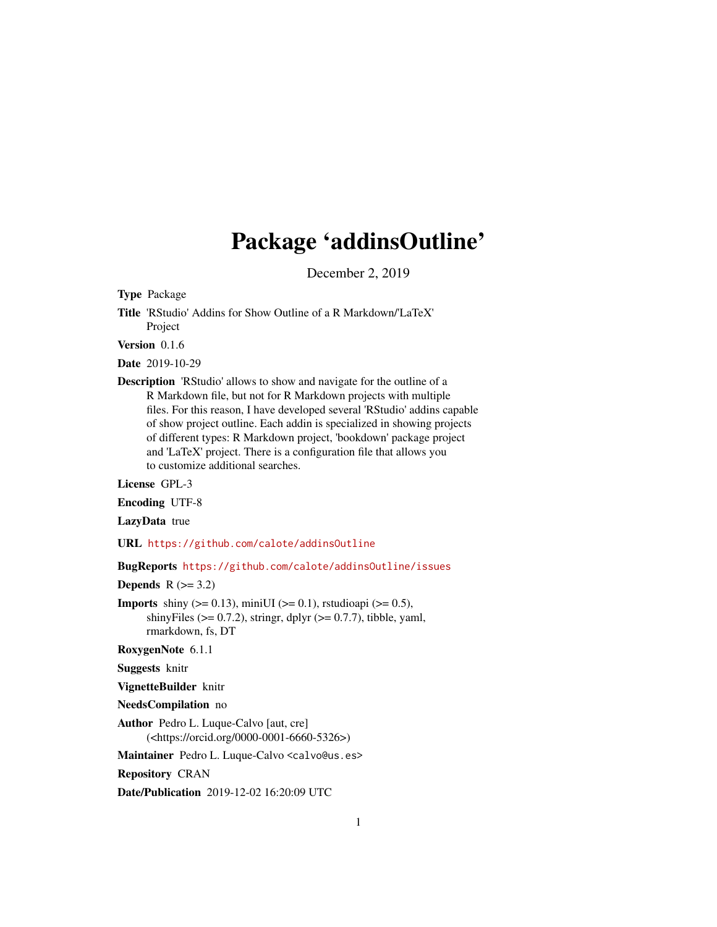## Package 'addinsOutline'

December 2, 2019

Type Package

Title 'RStudio' Addins for Show Outline of a R Markdown/'LaTeX' Project

Version 0.1.6

Date 2019-10-29

Description 'RStudio' allows to show and navigate for the outline of a R Markdown file, but not for R Markdown projects with multiple files. For this reason, I have developed several 'RStudio' addins capable of show project outline. Each addin is specialized in showing projects of different types: R Markdown project, 'bookdown' package project and 'LaTeX' project. There is a configuration file that allows you to customize additional searches.

License GPL-3

Encoding UTF-8

LazyData true

URL <https://github.com/calote/addinsOutline>

BugReports <https://github.com/calote/addinsOutline/issues>

Depends  $R$  ( $>= 3.2$ )

**Imports** shiny ( $> = 0.13$ ), miniUI ( $> = 0.1$ ), rstudioapi ( $> = 0.5$ ), shinyFiles ( $> = 0.7.2$ ), stringr, dplyr ( $> = 0.7.7$ ), tibble, yaml, rmarkdown, fs, DT

RoxygenNote 6.1.1

Suggests knitr

VignetteBuilder knitr

NeedsCompilation no

Author Pedro L. Luque-Calvo [aut, cre] (<https://orcid.org/0000-0001-6660-5326>)

Maintainer Pedro L. Luque-Calvo <calvo@us.es>

Repository CRAN

Date/Publication 2019-12-02 16:20:09 UTC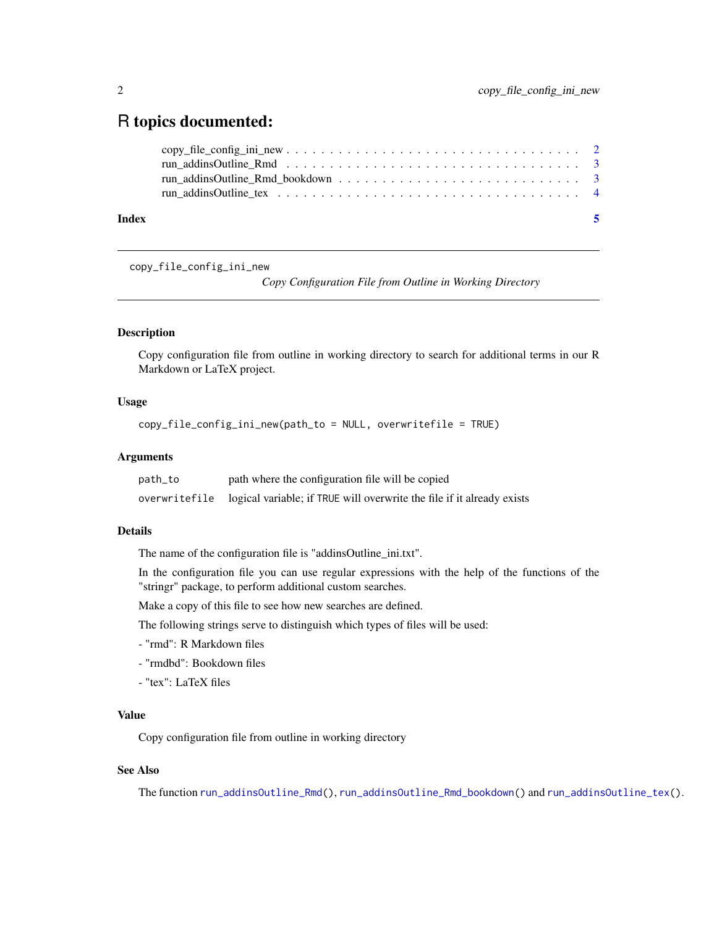### <span id="page-1-0"></span>R topics documented:

| Index | - 5 |
|-------|-----|
|       |     |
|       |     |
|       |     |
|       |     |

copy\_file\_config\_ini\_new

*Copy Configuration File from Outline in Working Directory*

#### Description

Copy configuration file from outline in working directory to search for additional terms in our R Markdown or LaTeX project.

#### Usage

copy\_file\_config\_ini\_new(path\_to = NULL, overwritefile = TRUE)

#### Arguments

| path_to       | path where the configuration file will be copied                       |
|---------------|------------------------------------------------------------------------|
| overwritefile | logical variable; if TRUE will overwrite the file if it already exists |

#### Details

The name of the configuration file is "addinsOutline\_ini.txt".

In the configuration file you can use regular expressions with the help of the functions of the "stringr" package, to perform additional custom searches.

Make a copy of this file to see how new searches are defined.

The following strings serve to distinguish which types of files will be used:

- "rmd": R Markdown files
- "rmdbd": Bookdown files
- "tex": LaTeX files

#### Value

Copy configuration file from outline in working directory

#### See Also

The function [run\\_addinsOutline\\_Rmd\(](#page-2-1)), [run\\_addinsOutline\\_Rmd\\_bookdown\(](#page-2-2)) and [run\\_addinsOutline\\_tex\(](#page-3-1)).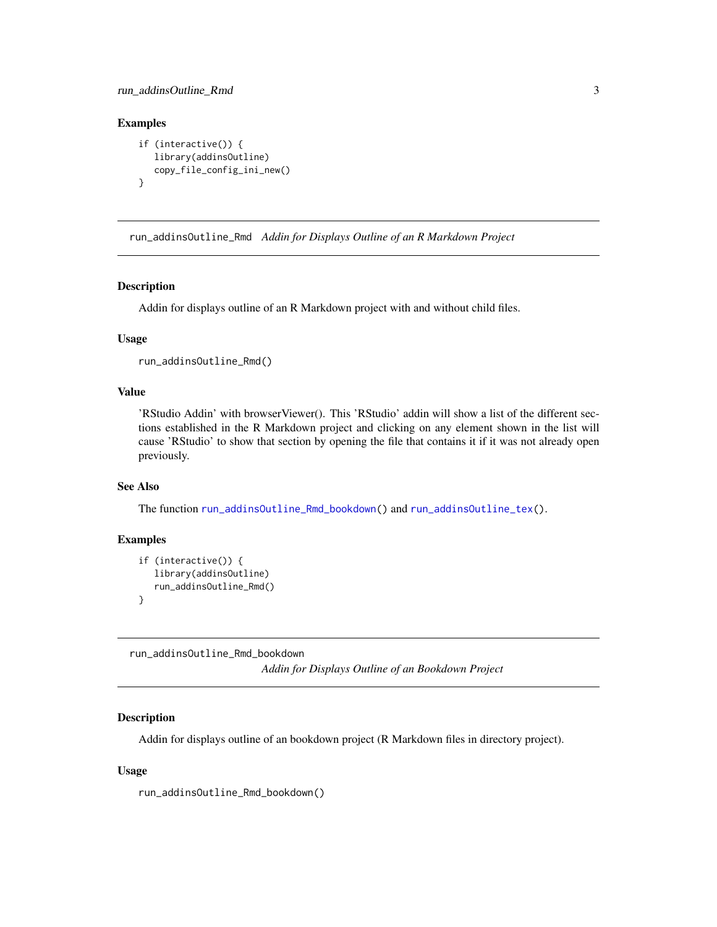#### <span id="page-2-0"></span>run\_addinsOutline\_Rmd 3

#### Examples

```
if (interactive()) {
  library(addinsOutline)
  copy_file_config_ini_new()
}
```
<span id="page-2-1"></span>run\_addinsOutline\_Rmd *Addin for Displays Outline of an R Markdown Project*

#### Description

Addin for displays outline of an R Markdown project with and without child files.

#### Usage

```
run_addinsOutline_Rmd()
```
#### Value

'RStudio Addin' with browserViewer(). This 'RStudio' addin will show a list of the different sections established in the R Markdown project and clicking on any element shown in the list will cause 'RStudio' to show that section by opening the file that contains it if it was not already open previously.

#### See Also

The function [run\\_addinsOutline\\_Rmd\\_bookdown\(](#page-2-2)) and [run\\_addinsOutline\\_tex\(](#page-3-1)).

#### Examples

```
if (interactive()) {
  library(addinsOutline)
   run_addinsOutline_Rmd()
}
```
<span id="page-2-2"></span>run\_addinsOutline\_Rmd\_bookdown *Addin for Displays Outline of an Bookdown Project*

#### Description

Addin for displays outline of an bookdown project (R Markdown files in directory project).

#### Usage

run\_addinsOutline\_Rmd\_bookdown()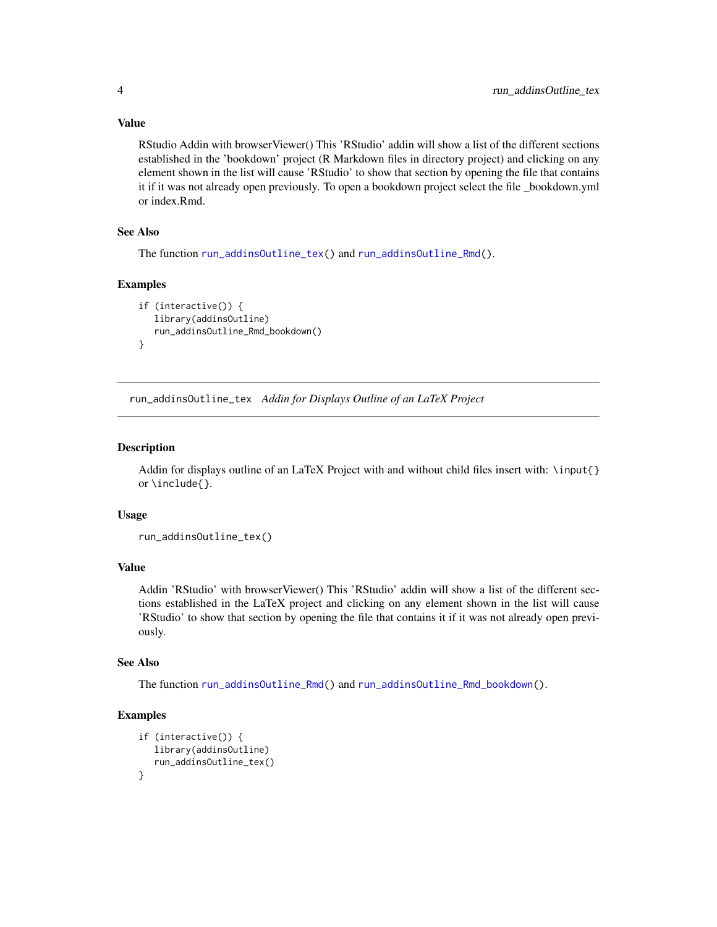RStudio Addin with browserViewer() This 'RStudio' addin will show a list of the different sections established in the 'bookdown' project (R Markdown files in directory project) and clicking on any element shown in the list will cause 'RStudio' to show that section by opening the file that contains it if it was not already open previously. To open a bookdown project select the file \_bookdown.yml or index.Rmd.

#### See Also

The function [run\\_addinsOutline\\_tex\(](#page-3-1)) and [run\\_addinsOutline\\_Rmd\(](#page-2-1)).

#### Examples

```
if (interactive()) {
  library(addinsOutline)
  run_addinsOutline_Rmd_bookdown()
}
```
<span id="page-3-1"></span>run\_addinsOutline\_tex *Addin for Displays Outline of an LaTeX Project*

#### Description

Addin for displays outline of an LaTeX Project with and without child files insert with: \input{} or \include{}.

#### Usage

```
run_addinsOutline_tex()
```
#### Value

Addin 'RStudio' with browserViewer() This 'RStudio' addin will show a list of the different sections established in the LaTeX project and clicking on any element shown in the list will cause 'RStudio' to show that section by opening the file that contains it if it was not already open previously.

#### See Also

The function [run\\_addinsOutline\\_Rmd\(](#page-2-1)) and [run\\_addinsOutline\\_Rmd\\_bookdown\(](#page-2-2)).

#### Examples

```
if (interactive()) {
  library(addinsOutline)
   run_addinsOutline_tex()
}
```
<span id="page-3-0"></span>